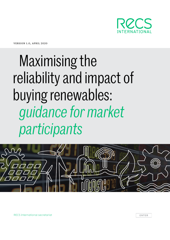

version 1.0, april 2020

# Maximising the reliability and impact of buying renewables: *guidance for market participants*



RECS International secretariat **ENTER**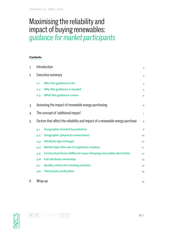# Maximising the reliability and impact of buying renewables: *guidance for market participants*

#### **Contents**

| $\mathbf{1}$   | Introduction                                                                  |                                                                    | 3              |
|----------------|-------------------------------------------------------------------------------|--------------------------------------------------------------------|----------------|
| $\overline{2}$ | Executive summary                                                             |                                                                    | 3              |
|                | 2.1                                                                           | Who this guidance is for                                           | 4              |
|                | 2.2                                                                           | Why this guidance is needed                                        | $\overline{4}$ |
|                | 2.3                                                                           | What this guidance covers                                          | 5              |
| 3              |                                                                               | Assessing the impact of renewable energy purchasing                | 6              |
| 4              | The concept of 'additional impact'                                            |                                                                    | $\overline{7}$ |
| 5              | Factors that affect the reliability and impact of a renewable energy purchase |                                                                    | 8              |
|                | 5.1                                                                           | <b>Geographic (market boundaries)</b>                              | 8              |
|                | 5.2                                                                           | <b>Geographic (physical connections)</b>                           | 10             |
|                | $5-3$                                                                         | <b>Attribute Age (vintage)</b>                                     | 10             |
|                | 5.4                                                                           | Market type (the role of regulatory surplus)                       | 11             |
|                | 5.5                                                                           | Contractual forms (different ways of buying renewable electricity) | 12             |
|                | 5.6                                                                           | <b>Full-attribute ownership</b>                                    | 13             |
|                | 5.7                                                                           | <b>Quality criteria for tracking systems</b>                       | 14             |
|                | 5.8                                                                           | Third-party verification                                           | 15             |
| 6              | Wrap-up                                                                       |                                                                    | 15             |



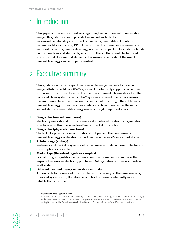# <span id="page-2-0"></span>1 Introduction

This paper addresses key questions regarding the procurement of renewable energy. Its guidance should provide the market with clarity on how to maximise the reliability and impact of procuring renewables. It contains recommendations made by RECS International **<sup>1</sup>** that have been reviewed and endorsed by leading renewable energy market participants. The guidance builds on the basic laws and standards, set out by others**<sup>2</sup>**, that should be followed to ensure that the essential elements of consumer claims about the use of renewable energy can be properly verified.

# 2 Executive summary

This guidance is for participants in renewable energy markets founded on energy attribute certificate (EAC) systems. It particularly supports consumers who want to maximise the impact of their procurement. Having described the book and claim system on which EAC systems are based, the paper assesses the environmental and socio-economic impact of procuring different types of renewable energy. It then provides guidance on how to maximise the impact and reliability of renewable energy markets in eight important areas.

#### **1. Geographic (market boundaries)**

Electricity users should purchase energy attribute certificates from generation sites located within the same legal/energy market jurisdiction.

#### **2. Geographic (physical connections)**

The lack of a physical connection should not prevent the purchasing of renewable energy certificates from within the same legal/energy market area.

#### **3. Attribute Age (vintage)**

End-users and market players should consume electricity as close to the time of consumption as possible.

#### **4. Market type (the role of regulatory surplus)**

Contributing to regulatory surplus in a compliance market will increase the impact of renewable electricity purchases. But regulatory surplus is not relevant in all systems

#### **5. Different means of buying renewable electricity**

All contracts for power and for attribute certificates rely on the same markets, rules and systems and, therefore, no contractual form is inherently more reliable than any other.





<sup>1.</sup>  <https://www.recs.org/who-we-are>

<sup>2.</sup> Such as the European Union's Renewable Energy Directive 2018/2001 (Article 19), the CEN CENELEC Standard 16325 (undergoing revision in 2020), The European Energy Certificate System rules as maintained by the Association of Issuing Bodies, and the Greenhouse Gas Protocol Scope 2 Guidance from the World Resources Institute.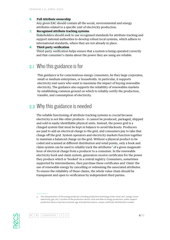#### <span id="page-3-0"></span>**6. Full Attribute ownership**

Any given EAC should contain all the social, environmental and energy attributes related to a specific unit of electricity production.

#### **7. Recognised attribute tracking systems**

Stakeholders should seek to use recognised standards for attribute tracking and support national authorities to develop robust local systems, which adhere to international standards, where they are not already in place.

#### **8. Third-party verification**

Third-party verification helps ensure that a system is being operated correctly and that consumer's claims about the power they are using are reliable.

### 2.1 Who this guidance is for

This guidance is for conscientious energy consumers, be they large corporates, small or medium enterprises, or households. In particular, it supports electricity end-users who want to maximise the impact of buying renewable electricity. The guidance also supports the reliability of renewables markets by establishing common ground on which to reliably certify the production, transfer, and consumption of electricity.

### 2.2 Why this guidance is needed

The reliable functioning of attribute tracking systems is crucial because electricity is not like other products - it cannot be produced, packaged, shipped and sold in easily identifiable physical units. Instead, the power grid is a charged system that must be kept in balance to avoid blackouts. Producers are paid to add an electrical charge to the grid, and consumers pay to take that charge off the grid. System operators and electricity markets function together to maintain a balanced charge on the grid. Without a physical product to be coded and scanned at different distribution and retail points, only a book and claim system can be used to reliably track the attributes**<sup>3</sup>** of a given megawatthour of electrical charge from a producer to a consumer. In the renewable electricity book and claim system, generators receive certificates for the power they produce which is 'booked' in a central registry. Consumers, sometimes supported by intermediaries, then purchase these certificates and 'claim' the use of renewable energy by cancelling or redeeming the associated attributes. To ensure the reliability of these claims, the whole value chain should be transparent and open to verification by independent third parties.



« | » | CONTENTS

<sup>3.</sup>  The characteristics of the energy produced, including production technology (solar, wind, etc), energy carrier (electricity, gas, etc.), location of the production device, time and date of energy production, public support production device may have received, age of production device, unique certificate identification number.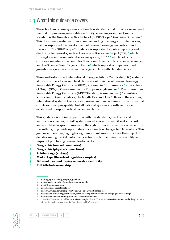# <span id="page-4-0"></span>2.3 What this guidance covers

These book and claim systems are based on standards that provide a recognised method for procuring renewable electricity. A leading example of such a standard is the Greenhouse Gas Protocol (GHGP) Scope 2 Guidance Document**<sup>4</sup>**. This document created a common understanding of energy attribute tracking that has supported the development of renewable energy markets around the world. The GHGP Scope 2 Guidance is supported by public reporting and disclosure frameworks, such as the Carbon Disclosure Project (CDP)**<sup>5</sup>** which runs a global environmental disclosure system, RE100**<sup>6</sup>** which holds its corporate members to account for their commitments to buy renewable energy, and the Science Based Targets initiative**<sup>7</sup>** which supports companies to set greenhouse gas emission reduction targets in line with climate science.

Three well established international Energy Attribute Certificate (EAC) systems allow consumers to make robust claims about their use of renewable energy. Renewable Energy Certificates (RECS) are used in North America**<sup>8</sup>**. Guarantees of Origin (GOs/GoOs) are used in the European single market**<sup>9</sup>**. The International Renewable Energy Certificate (I-REC Standard) is used in over 30 countries across South America, Africa, the Middle East and Aisa**<sup>10</sup>**. Beyond these strong international systems, there are also several national schemes run by individual countries of varying quality. Not all national systems are sufficiently well established to support robust consumer claims**<sup>11</sup>**.

This guidance is not in competition with the standards, disclosure and verification schemes, or EAC systems noted above. Instead, it seeks to clarify and add detail in specific areas and, through further information available from the authors, to provide up to date advice based on changes to EAC markets. This guidance, therefore, highlights eight important areas which are the subject of debates among market participants as for how to maximise the reliability and impact of purchasing renewable electricity:

- **1. Geographic (market boundaries)**
- **2. Geographic (physical connections)**
- **3. Attribute Age (vintage)**
- **4. Market type (the role of regulatory surplus)**
- **5. Different means of buying renewable electricity**
- **6. Full Attribute ownership**



» | CONTENTS

<sup>4.</sup>  [https://ghgprotocol.org/scope\\_2\\_guidance](https://ghgprotocol.org/scope_2_guidance)

<sup>5.</sup>  <https://www.cdp.net/en/info/about-us/what-we-do>

<sup>6.</sup> http://thereioo.org/reioo

<sup>7.</sup>  <https://sciencebasedtargets.org/>

<sup>8.</sup> <https://www.epa.gov/greenpower/renewable-energy-certificates-recs>

<sup>9.</sup>  <https://www.aib-net.org/certification/certificates-supported/renewable-energy-guarantees-origin>

<sup>10.</sup> <https://www.irecstandard.org/how-the-i-rec-standard-works>

<sup>11.</sup> Contact RECS International ([secretariat@recs.org](mailto:secretariat@recs.org)) or the I-REC Standard ([secretariat@irecstandard.org](mailto:secretariat@irecstandard.org)) for more information on the robustness of different national EAC schemes.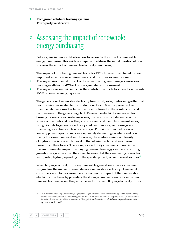#### <span id="page-5-0"></span>**7. Recognised attribute tracking systems**

**8. Third-party verification**

# 3 Assessing the impact of renewable energy purchasing

Before going into more detail on how to *maximise* the impact of renewable energy purchasing, this guidance paper will address the initial question of how to assess the impact of renewable electricity purchasing.

The impact of purchasing renewables is, for RECS International, based on two important aspects – one environmental and the other socio-economic:

- **1.** The key environmental impact is the reduction in greenhouse gas emissions per megawatt-hour (MWh) of power generated and consumed
- **2.** The key socio-economic impact is the contribution made to a transition towards 100% renewable energy systems

The generation of renewable electricity from wind, solar, hydro and geothermal has no emissions related to the production of each MWh of power – other than the relatively small volume of emissions linked to the construction and maintenance of the generating plant. Renewable electricity generated from burning biomass does create emissions, the level of which depends on the source of the fuels and how they are processed and used. In some instances, using biofuels to generate electricity could emit more greenhouse gases than using fossil fuels such as coal and gas. Emissions from hydropower are very project-specific and can vary widely depending on where and how the hydropower dam was built. However, the median emission intensity of hydropower is of a similar level to that of wind, solar, and geothermal power in all their forms. Therefore, for electricity consumers to maximise the environmental impact that buying renewable energy can have on cutting greenhouse gas emissions, they need to know that they are buying power from wind, solar, hydro (depending on the specific project) or geothermal sources<sup>12</sup>.

When buying electricity from any renewable generation source a consumer is signalling the market to generate more renewable electricity. However, if consumers wish to maximise the socio-economic impact of their renewable electricity purchases by providing the strongest market signals for more new renewables then, again, they must be well informed. Buying electricity from a





<sup>12.</sup> More detail on the comparative lifecycle greenhouse gas emissions from electricity supplied by commercially available technologies can be found in figures 7.6 and 7.7, with related text, in Chapter 7 of the 5th Assessment Report of the International Panel on Climate Change ([https://www.ipcc.ch/site/assets/uploads/2018/02/ipcc\\_](https://www.ipcc.ch/site/assets/uploads/2018/02/ipcc_wg3_ar5_chapter7.pdf) [wg3\\_ar5\\_chapter7.pdf](https://www.ipcc.ch/site/assets/uploads/2018/02/ipcc_wg3_ar5_chapter7.pdf))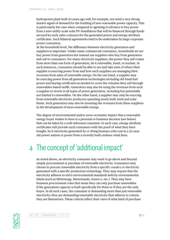<span id="page-6-0"></span>hydropower plant built 50 years ago will, for example, not send a very strong market signal of demand for the building of new renewable power capacity. This is particularly the case when compared to agreeing in advance to buy power from a new utility-scale solar PV installation that will be financed through funds secured by early sales contracts for the generated power and energy attribute certificates. Such bilateral agreements tend to be undertaken by large corporate power consumers.

At the household level, the difference between electricity generators and suppliers is important. Unlike many commercial consumers, households do not buy power from generators but instead use suppliers who buy from generators and sell to consumers. For many electricity suppliers, the power they sell comes from more than one form of generation, be it renewable, fossil, or nuclear. In such instances, consumers should be able to see and take note of where their supplier is sourcing power from and how such suppliers are managing their revenues from sales of renewable energy. On the one hand, a supplier may be sourcing power from all generation technologies including old fossil fuel power and buying certificates as needed to cover the volumes they sell through renewables-based tariffs. Generators may also be using the revenues from such a supplier to invest in all types of power generation, including but potentially not limited to renewables. On the other hand, a supplier may only be sourcing from renewable electricity producers operating newly built wind and solar farms. Such generators may also be investing the revenues from these suppliers in the development of more renewable energy.

The degree of environmental and/or socio-economic impact that a renewable energy buyer wishes to have is a personal or business decision (see below) that can be taken by a well-informed consumer. In each case, energy attribute certificates will provide such consumers with the proof of what they have bought, be it electricity generated by co-firing biomass with coal in a 50-yearold power station or power from a recently built onshore wind farm.

# 4 The concept of 'additional impact'

As noted above, an electricity consumer may want to go above and beyond simply procurement or purchase of renewable electricity. Consumers may choose to procure renewable electricity from a specific country or electricity generated with a specific production technology. They may require that the electricity adheres to strict environmental standards held by environmental labels (such as EKOenergy, Naturemade, Green-e, etc.). They may have business procurement rules that mean they can only purchase renewables if the generation capacity is built specifically for them or if they are the only buyer. In all such cases, the consumer is demanding more than just renewable electricity; they are demanding renewable electricity that adheres to criteria they set themselves. These criteria reflect their view of what kind of purchase



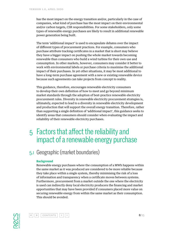<span id="page-7-0"></span>has the most impact on the energy transition and/or, particularly in the case of companies, what kind of purchase has the most impact on their environmental and/or carbon targets, CSR responsibilities. For some stakeholders, only some types of renewable energy purchases are likely to result in additional renewable power generation being built.

The term 'additional impact' is used to encapsulate debates over the impact of different types of procurement practices. For example, consumers who purchase attribute tracking certificates in a market that is short may believe they have a bigger impact on pushing the whole market towards becoming renewable than consumers who build a wind turbine for their own use and consumption. In other markets, however, consumers may consider it better to work with environmental labels or purchase criteria to maximise the additional impact of their purchases. In yet other situations, it may be most additional to have a long-term purchase agreement with a new or existing renewable device because such agreements can take projects from concept to reality.

This guidance, therefore, encourages renewable electricity consumers to develop their own definition of how to meet and go beyond minimum market standards through the adoption of best-practice renewable electricity procurement rules. Diversity in renewable electricity procurement strategies is, ultimately, expected to lead to a diversity in renewable electricity development and production that will support the overall energy transition. Therefore, rather than supporting a single definition of 'additional impact', this guidance seeks to identify areas that consumers should consider when evaluating the impact and reliability of their renewable electricity purchases.

5 Factors that affect the reliability and impact of a renewable energy purchase

# 5.1 Geographic (market boundaries)

#### **Background**

Renewable energy purchases where the consumption of a MWh happens within the same market as it was produced are considered to be more reliable because they take place within a single system, thereby minimising the risk of a loss of information and transparency when a certificate moves between systems. Furthermore, procurement from a market outside the one where the electricity is used can indirectly deny local electricity producers the financing and market opportunities that may have been provided if consumers placed more value on securing renewable energy from within the same market as their consumption. This should be avoided.



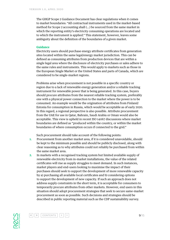The GHGP Scope 2 Guidance Document has clear regulations when it comes to market boundaries: "All contractual instruments used in the market-based method for Scope 2 accounting shall (…) be sourced from the same market in which the reporting entity's electricity consuming operations are located and to which the instrument is applied." This statement, however, leaves some ambiguity about the definition of the boundaries of a given market.

#### **Guidance**

Electricity users should purchase energy attribute certificates from generation sites located within the same legal/energy market jurisdiction. This can be defined as consuming attributes from production devices that are within a single legal area where the disclosure of electricity purchases or sales adhere to the same rules and instruments. This would apply to markets such as those in the European Single Market or the United States and parts of Canada, which are considered to be single-market regions.

Problems arise when procurement is not possible in a specific country or region due to a lack of renewable energy generation and/or a reliable tracking instrument for renewable power that is being generated. In this case, buyers should procure attributes from the nearest reliable tracking system, preferably one with a physical power connection to the market where the power is to be consumed. An example would be the origination of attributes from Finland/ Estonia for consumption in Russia, which would be acceptable as of early 2020. In this regard, a regional perspective is also possible. Attribute procurement from the UAE for use in Qatar, Bahrain, Saudi Arabia or Oman would also be acceptable. This view is upheld in recent ISO 14067 discussions where market boundaries are defined as "produced within the country, or within the market boundaries of where consumption occurs if connected to the grid."

Such procurement should take account of the following points:

- **1.** Procurement from another market area, if it is considered unavoidable, should be kept to the minimum possible and should be publicly disclosed, along with clear reasoning as to why attributes could not reliably be purchased from within the same market area.
- **2.** In markets with a recognised tracking system but limited available supply of renewable electricity from in-market installations, the value of the related certificates will rise as supply struggles to meet demand. In such instances, market players and end-users looking to maximise the impact of their purchases should seek to support the development of more renewable capacity by a) purchasing all available local certificates and b) considering options to support the development of new capacity. If such an approach does not address supply constraints in the short term, it is acceptable for consumers to temporarily procure attributes from other markets. However, end users in this situation should adopt procurement strategies that seek to secure same-market procurement as soon as possible. Such decisions and strategies should be described in public reporting material such as the CDP sustainability survey.



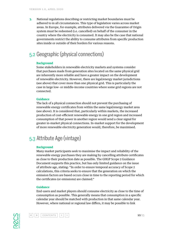<span id="page-9-0"></span>**3.** National regulations describing or restricting market boundaries must be adhered to in all circumstances. This type of legislation varies across market areas. In Europe, for example, attributes delivered via the Guarantee of Origin system must be redeemed (i.e. cancelled) on behalf of the consumer in the country where the electricity is consumed. It may also be the case that national governments restrict the ability to consume attributes from specific production sites inside or outside of their borders for various reasons.

# 5.2 Geographic (physical connections)

#### **Background**

Some stakeholders in renewable electricity markets and systems consider that purchases made from generation sites located on the same physical grid are inherently more reliable and have a greater impact on the development of renewable electricity. However, there are legal/energy market jurisdictions (see above) that cover more than one physical grid. This is particularly the case in large low- or middle-income countries where some grid regions are not connected.

#### **Guidance**

The lack of a physical connection should not prevent the purchasing of renewable energy certificates from within the same legal/energy market area (see above). It is considered that, particularly within markets, the increased production of cost-efficient renewable energy in one grid region and increased consumption of that power in another region would send a clear signal for greater in-market physical connections. In-market support for the development of more renewable electricity generation would, therefore, be maximised.

# 5.3 Attribute Age (vintage)

#### **Background**

Many market participants seek to maximise the impact and reliability of the renewable energy purchases they are making by cancelling attribute certificates as close to their production date as possible. The GHGP Scope 2 Guidance Document supports this practice, but has only limited guidance on the issue of attribute age, stating: "In order to ensure temporal accuracy of Scope 2 calculations, this criteria seeks to ensure that the generation on which the emission factors are based occurs close in time to the reporting period for which the certificates (or emissions) are claimed."

#### **Guidance**

End-users and market players should consume electricity as close to the time of consumption as possible. This generally means that consumption in a specific calendar year should be matched with production in that same calendar year. However, where national or regional law differs, it may be possible to link



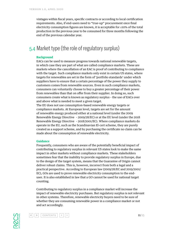<span id="page-10-0"></span>vintages within fiscal years, specific contracts or according to local certification requirements. Also, if end-users need to "true-up" procurement once final electricity consumption figures are known, it is acceptable for ≤10% of the total production in the previous year to be consumed for three months following the end of the previous calendar year.

### 5.4 Market type (the role of regulatory surplus)

#### **Background**

EACs can be used to measure progress towards national renewable targets, in which case they are part of what are called compliance markets. These are markets where the cancellation of an EAC is proof of contributing to compliance with the target. Such compliance markets only exist in certain US states, where targets for renewables are set in the form of 'portfolio standards' under which suppliers have to ensure that a certain percentage of the power they supply to customers comes from renewable sources. Even in such compliance markets, consumers can voluntarily choose to buy a greater percentage of their power from renewables than that on offer from their supplier. In doing so, such consumers create what is known as regulatory surplus – the use of EACs over and above what is needed to meet a given target.

The EU does not use consumption-based renewable energy targets or compliance markets. At European level, targets are set for the amount of renewable energy produced either at a national level (under the 2009 Renewable Energy Directive – 2009/28/EC) or at the EU level (under the 2018 Renewable Energy Directive – 2018/2001/EC). Where compliance markets do operate in the EU, such as the Scandinavian El-cert scheme, they are purely created as a support scheme, and by purchasing the certificate no claim can be made about the consumption of renewable electricity.

#### **Guidance**

Frequently, consumers who are aware of the potentially beneficial impact of contributing to regulatory surplus in relevant US states look to make the same impact in other markets without compliance markets. These stakeholders sometimes fear that the inability to provide regulatory surplus in Europe, due to the design of the target system, means that the Guarantee of Origin cannot deliver robust claims. This is, however, incorrect from both a legal and a practical perspective. According to European law (2009/28/EC and 2019/2001/ EC), GOs are used to prove renewable electricity consumption to the enduser. It is also established in law that a GO cannot be used for national target counting.

Contributing to regulatory surplus in a compliance market will increase the impact of renewable electricity purchases. But regulatory surplus is not relevant in other systems. Therefore, renewable electricity buyers need to be sure of whether they are consuming renewable power in a compliance market or not and act accordingly.



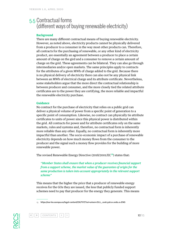### <span id="page-11-0"></span>5.5 Contractual forms (different ways of buying renewable electricity)

#### **Background**

There are many different contractual means of buying renewable electricity. However, as noted above, electricity products cannot be physically delivered from a producer to a consumer in the way most other products can. Therefore, all contracts for the purchasing of renewable, or any other kind of electricity product, are essentially an agreement between a producer to place a certain amount of charge on the gird and a consumer to remove a certain amount of charge on the grid. These agreements can be bilateral. They can also go through intermediaries and/or open markets. The same principles apply to contracts for the attributes of a given MWh of charge added to the grid. Because there is no physical delivery of electricity there can also not be any physical link between an MWh of electrical charge and its attribute certificate. Nevertheless, some stakeholders argue that the more direct the contractual relationship is between producer and consumer, and the more closely tied the related attribute certificates are to the power they are certifying, the more reliable and impactful the renewable electricity purchase.

#### **Guidance**

No contract for the purchase of electricity that relies on a public grid can deliver a physical volume of power from a specific point of generation to a specific point of consumption. Likewise, no contract can physically tie attribute certificates to units of power since this physical power is distributed within the grid. All contracts for power and for attribute certificates rely on the same markets, rules and systems and, therefore, no contractual form is inherently more reliable than any other. Equally, no contractual form is inherently more impactful than another. The socio-economic impact of a purchase of renewable electricity depends on how much money flows from the consumer to the producer and the signal such a money flow provides for the building of more renewable power.

The revised Renewable Energy Directive (2018/2001/EC**<sup>13</sup>**) states that:

*"Member States shall ensure that when a producer receives financial support from a support scheme, the market value of the guarantee of origin for the same production is taken into account appropriately in the relevant support scheme"*

This means that the higher the price that a producer of renewable energy receives for the GOs they are issued, the less that publicly funded support schemes need to pay that producer for the energy they generate. This means





<sup>13.</sup> [https://eur-lex.europa.eu/legal-content/EN/TXT/?uri=uriserv:OJ.L\\_.2018.328.01.0082.01.ENG](https://eur-lex.europa.eu/legal-content/EN/TXT/?uri=uriserv:OJ.L_.2018.328.01.0082.01.ENG)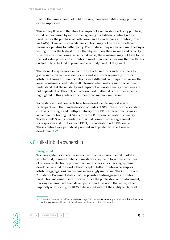<span id="page-12-0"></span>that for the same amount of public money, more renewable energy production can be supported.

This money flow, and therefore the impact of a renewable electricity purchase, could be maximised by a consumer agreeing to a bilateral contract with a producer for the purchase of both power and its underlying attributes (proven via EACs). However, such a bilateral contract may not be the most efficient means of operating for either party. The producer may not have found the buyer willing to offer the highest price – thereby reducing their income and capacity to reinvest in more power capacity. Likewise, the consumer may not have found the best value power and attributes to meet their needs – leaving them with less budget to buy the kind of power and electricity product they want.

Therefore, it may be more impactful for both producers and consumers to go through intermediaries and/or buy and sell power separately from its attributes through different contracts with different counterparties. As in other areas, consumers need to be well informed when making such decisions and understand that the reliability and impact of renewable energy purchases are not dependent on the contractual form used. Rather, it is the other aspects highlighted in this guidance document that are more important.

Some standardised contracts have been developed to support market participants and the standardisation of trades of GOs. These include standard contracts for single and multiple delivery from RECS International, a master agreement for trading EECS GOs from the European Federation of Energy Traders (EFET), and a standard individual power purchase agreement for corporates and utilities from EFET, in cooperation with RE-Source. These contracts are periodically revised and updated to reflect market developments**<sup>14</sup>**.

## 5.6 Full-attribute ownership

#### **Background**

Tracking systems sometimes interact with other environmental markets which could, in some limited circumstances, lay claim to various attributes of renewable electricity production. For this reason, as tracking systems developed around the world, the concept of full-attribute ownership (or attribute aggregation) has become increasingly important. The GHGP Scope 2 Guidance Document states that it is possible to disaggregate attributes of production into multiple certificates. Since the publication of this document, tracking systems have been developed around the world that allow, either implicitly or explicitly, for RECs to be issued without the ability to claim all





<sup>14.</sup> Contact RECS International([secretariat@recs.org](mailto:secretariat@recs.org)), EFET([secretariat@efet.org](mailto:secretariat@efet.org)), or RE-Source ([https://resource](https://resource-platform.eu/contact/)[platform.eu/contact/](https://resource-platform.eu/contact/)) for more information on the standard contracts they provide.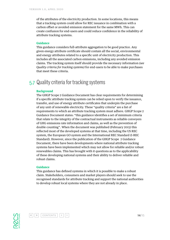<span id="page-13-0"></span>of the attributes of the electricity production. In some locations, this means that a tracking system could allow for REC issuance in combination with a carbon offset or avoided emission statement for the same MWh. This can create confusion for end-users and could reduce confidence in the reliability of attribute tracking systems.

#### **Guidance**

This guidance considers full-attribute aggregation to be good practice. Any given energy attribute certificate should contain all the social, environmental and energy attributes related to a specific unit of electricity production. This includes all the associated carbon emissions, including any avoided emission claims. The tracking system itself should provide the necessary information *(see Quality criteria for tracking systems)* for end-users to be able to make purchases that meet these criteria.

### 5.7 Quality criteria for tracking systems

#### **Background**

The GHGP Scope 2 Guidance Document has clear requirements for determining if a specific attribute tracking system can be relied upon to verify the issuance, transfer, and use of energy attribute certificates that underpin the purchase of any unit of renewable electricity. These "quality criteria" are a list of requirements to which an attribute tracking system must adhere. GHGP Scope 2 Guidance Document states: "this guidance identifies a set of minimum criteria that relate to the integrity of the contractual instruments as reliable conveyers of GHG emissions rate information and claims, as well as the prevention of double counting". When the document was published (February 2015) this reflected most of the developed systems at that time, including the US REC system, the European GO system and the International REC Standard (I-REC Standard). However, since the publication of the GHGP Scope 2 Guidance Document, there have been developments where national attribute tracking systems have been implemented which may not allow for reliable and/or robust renewables claims. This has brought with it questions as to the applicability of these developing national systems and their ability to deliver reliable and robust claims.

#### **Guidance**

This guidance has defined systems in which it is possible to make a robust claim. Stakeholders, consumers and market players should seek to use the recognised standards for attribute tracking and support the national authorities to develop robust local systems where they are not already in place.